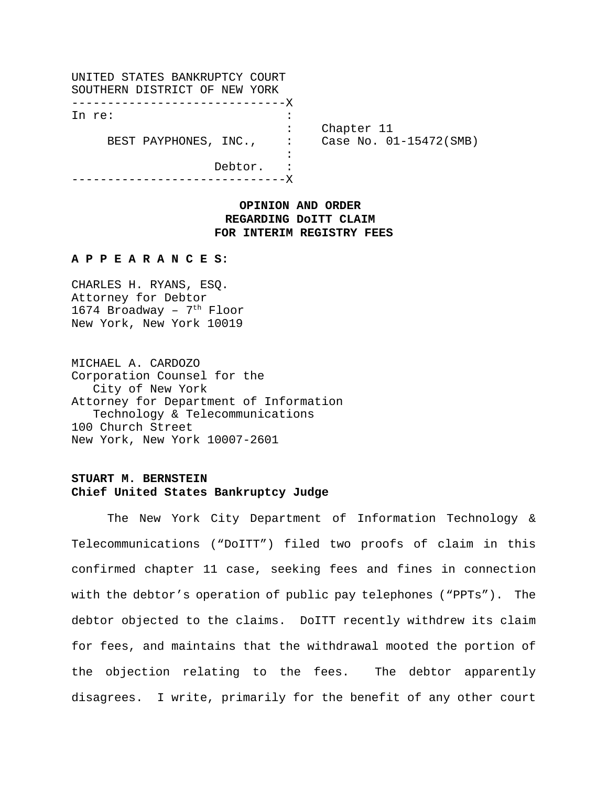| UNITED STATES BANKRUPTCY COURT |                        |
|--------------------------------|------------------------|
| SOUTHERN DISTRICT OF NEW YORK  |                        |
| ---------------------------X   |                        |
| In re:                         |                        |
|                                | Chapter 11             |
| BEST PAYPHONES, INC., :        | Case No. 01-15472(SMB) |
|                                |                        |
| Debtor.                        |                        |
|                                |                        |

## **OPINION AND ORDER REGARDING DoITT CLAIM FOR INTERIM REGISTRY FEES**

## **A P P E A R A N C E S:**

CHARLES H. RYANS, ESQ. Attorney for Debtor 1674 Broadway -  $7<sup>th</sup>$  Floor New York, New York 10019

MICHAEL A. CARDOZO Corporation Counsel for the City of New York Attorney for Department of Information Technology & Telecommunications 100 Church Street New York, New York 10007-2601

## **STUART M. BERNSTEIN Chief United States Bankruptcy Judge**

The New York City Department of Information Technology & Telecommunications ("DoITT") filed two proofs of claim in this confirmed chapter 11 case, seeking fees and fines in connection with the debtor's operation of public pay telephones ("PPTs"). The debtor objected to the claims. DoITT recently withdrew its claim for fees, and maintains that the withdrawal mooted the portion of the objection relating to the fees. The debtor apparently disagrees. I write, primarily for the benefit of any other court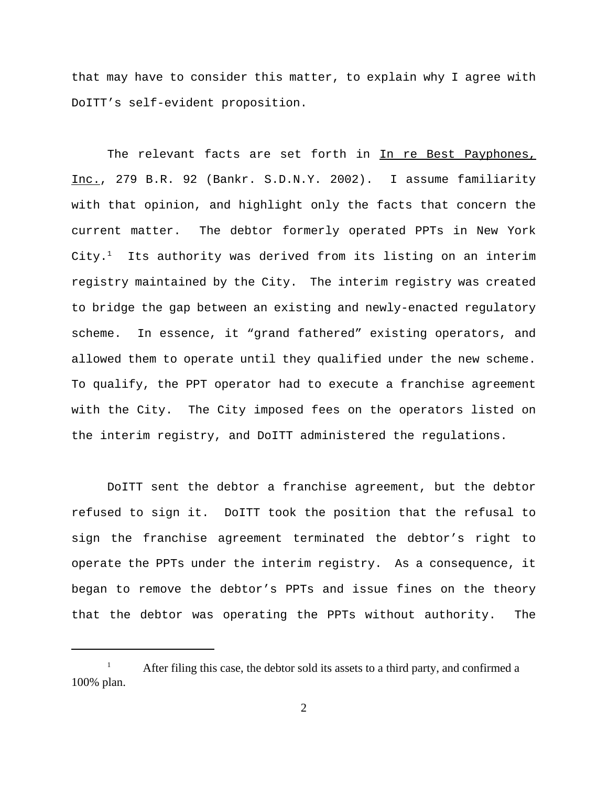that may have to consider this matter, to explain why I agree with DoITT's self-evident proposition.

The relevant facts are set forth in In re Best Payphones, Inc., 279 B.R. 92 (Bankr. S.D.N.Y. 2002). I assume familiarity with that opinion, and highlight only the facts that concern the current matter. The debtor formerly operated PPTs in New York  $\tt City.^1$  Its authority was derived from its listing on an interim registry maintained by the City. The interim registry was created to bridge the gap between an existing and newly-enacted regulatory scheme. In essence, it "grand fathered" existing operators, and allowed them to operate until they qualified under the new scheme. To qualify, the PPT operator had to execute a franchise agreement with the City. The City imposed fees on the operators listed on the interim registry, and DoITT administered the regulations.

DoITT sent the debtor a franchise agreement, but the debtor refused to sign it. DoITT took the position that the refusal to sign the franchise agreement terminated the debtor's right to operate the PPTs under the interim registry. As a consequence, it began to remove the debtor's PPTs and issue fines on the theory that the debtor was operating the PPTs without authority. The

<sup>&</sup>lt;sup>1</sup> After filing this case, the debtor sold its assets to a third party, and confirmed a 100% plan.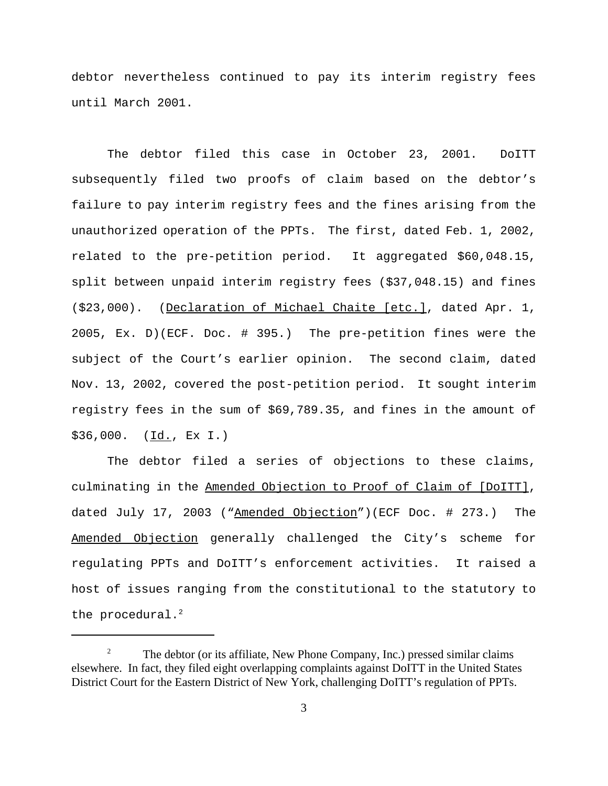debtor nevertheless continued to pay its interim registry fees until March 2001.

The debtor filed this case in October 23, 2001. DoITT subsequently filed two proofs of claim based on the debtor's failure to pay interim registry fees and the fines arising from the unauthorized operation of the PPTs. The first, dated Feb. 1, 2002, related to the pre-petition period. It aggregated \$60,048.15, split between unpaid interim registry fees (\$37,048.15) and fines (\$23,000). (Declaration of Michael Chaite [etc.], dated Apr. 1, 2005, Ex. D)(ECF. Doc. # 395.) The pre-petition fines were the subject of the Court's earlier opinion. The second claim, dated Nov. 13, 2002, covered the post-petition period. It sought interim registry fees in the sum of \$69,789.35, and fines in the amount of \$36,000. (Id., Ex I.)

The debtor filed a series of objections to these claims, culminating in the Amended Objection to Proof of Claim of [DoITT], dated July 17, 2003 ("Amended Objection")(ECF Doc. # 273.) The Amended Objection generally challenged the City's scheme for regulating PPTs and DoITT's enforcement activities. It raised a host of issues ranging from the constitutional to the statutory to the procedural. $^2$ 

<sup>&</sup>lt;sup>2</sup> The debtor (or its affiliate, New Phone Company, Inc.) pressed similar claims elsewhere. In fact, they filed eight overlapping complaints against DoITT in the United States District Court for the Eastern District of New York, challenging DoITT's regulation of PPTs.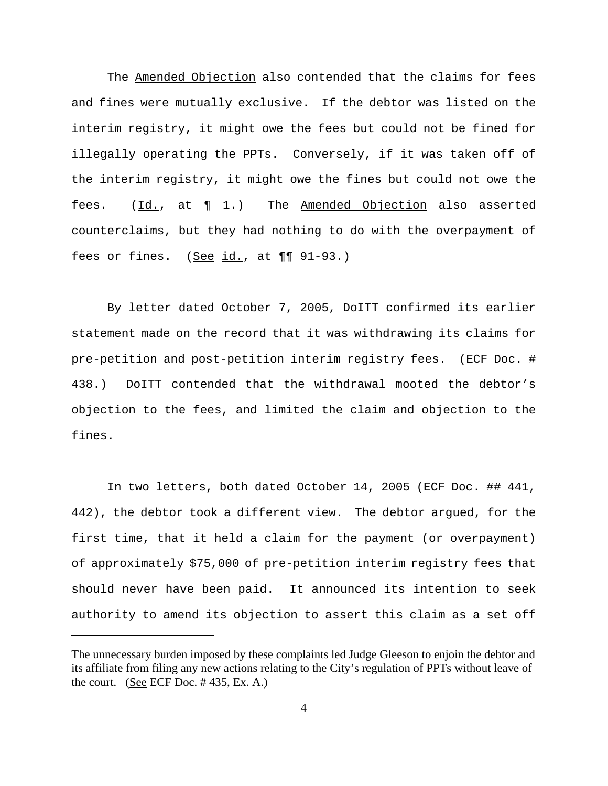The Amended Objection also contended that the claims for fees and fines were mutually exclusive. If the debtor was listed on the interim registry, it might owe the fees but could not be fined for illegally operating the PPTs. Conversely, if it was taken off of the interim registry, it might owe the fines but could not owe the fees. (Id., at ¶ 1.) The Amended Objection also asserted counterclaims, but they had nothing to do with the overpayment of fees or fines.  $(See id., at  $\blacksquare \blacksquare 91-93.$ )$ 

By letter dated October 7, 2005, DoITT confirmed its earlier statement made on the record that it was withdrawing its claims for pre-petition and post-petition interim registry fees. (ECF Doc. # 438.) DoITT contended that the withdrawal mooted the debtor's objection to the fees, and limited the claim and objection to the fines.

In two letters, both dated October 14, 2005 (ECF Doc. ## 441, 442), the debtor took a different view. The debtor argued, for the first time, that it held a claim for the payment (or overpayment) of approximately \$75,000 of pre-petition interim registry fees that should never have been paid. It announced its intention to seek authority to amend its objection to assert this claim as a set off

The unnecessary burden imposed by these complaints led Judge Gleeson to enjoin the debtor and its affiliate from filing any new actions relating to the City's regulation of PPTs without leave of the court. (See ECF Doc.  $\#$  435, Ex. A.)